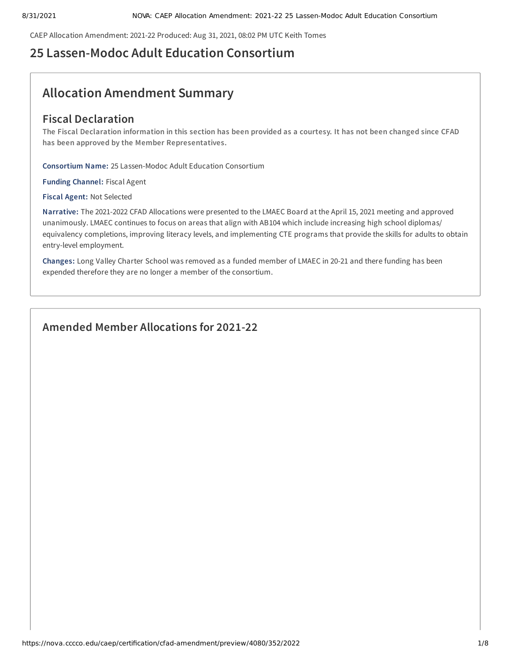CAEP Allocation Amendment: 2021-22 Produced: Aug 31, 2021, 08:02 PM UTC Keith Tomes

# **25 Lassen-Modoc Adult Education Consortium**

# **Allocation Amendment Summary**

# **Fiscal Declaration**

The Fiscal Declaration information in this section has been provided as a courtesy. It has not been changed since CFAD **has been approved by the Member Representatives.**

**Consortium Name:** 25 Lassen-Modoc Adult Education Consortium

**Funding Channel:** Fiscal Agent

**Fiscal Agent:** Not Selected

**Narrative:** The 2021-2022 CFAD Allocations were presented to the LMAEC Board at the April 15, 2021 meeting and approved unanimously. LMAEC continues to focus on areas that align with AB104 which include increasing high school diplomas/ equivalency completions, improving literacy levels, and implementing CTE programs that provide the skills for adults to obtain entry-level employment.

**Changes:** Long Valley Charter School was removed as a funded member of LMAEC in 20-21 and there funding has been expended therefore they are no longer a member of the consortium.

# **Amended Member Allocations for 2021-22**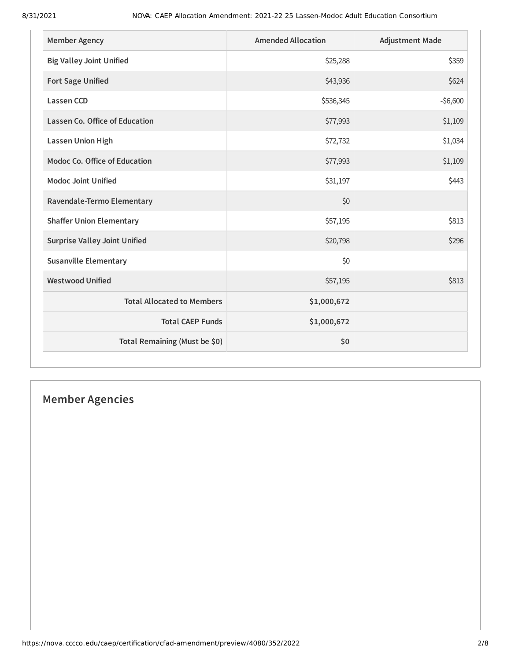| <b>Member Agency</b>                 | <b>Amended Allocation</b> | <b>Adjustment Made</b> |
|--------------------------------------|---------------------------|------------------------|
| <b>Big Valley Joint Unified</b>      | \$25,288                  | \$359                  |
| <b>Fort Sage Unified</b>             | \$43,936                  | \$624                  |
| <b>Lassen CCD</b>                    | \$536,345                 | $-56,600$              |
| Lassen Co. Office of Education       | \$77,993                  | \$1,109                |
| <b>Lassen Union High</b>             | \$72,732                  | \$1,034                |
| <b>Modoc Co. Office of Education</b> | \$77,993                  | \$1,109                |
| <b>Modoc Joint Unified</b>           | \$31,197                  | \$443                  |
| Ravendale-Termo Elementary           | \$0                       |                        |
| <b>Shaffer Union Elementary</b>      | \$57,195                  | \$813                  |
| <b>Surprise Valley Joint Unified</b> | \$20,798                  | \$296                  |
| <b>Susanville Elementary</b>         | \$0                       |                        |
| <b>Westwood Unified</b>              | \$57,195                  | \$813                  |
| <b>Total Allocated to Members</b>    | \$1,000,672               |                        |
| <b>Total CAEP Funds</b>              | \$1,000,672               |                        |
| Total Remaining (Must be \$0)        | \$0                       |                        |

# **Member Agencies**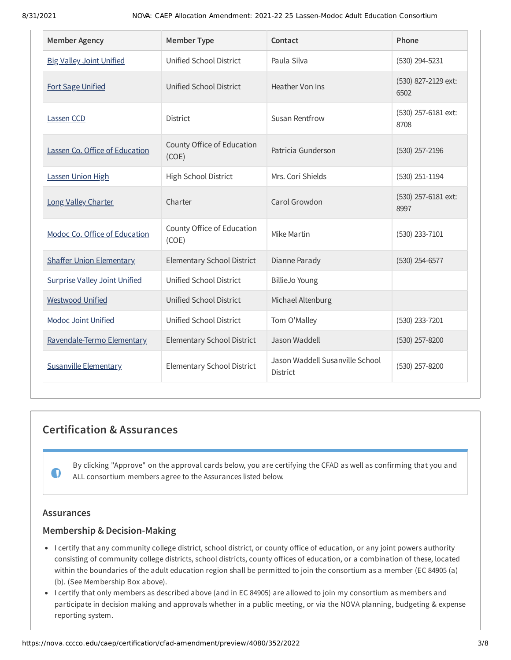| <b>Member Agency</b>                 | <b>Member Type</b>                  | Contact                                     | Phone                       |
|--------------------------------------|-------------------------------------|---------------------------------------------|-----------------------------|
| <b>Big Valley Joint Unified</b>      | Unified School District             | Paula Silva                                 | (530) 294-5231              |
| <b>Fort Sage Unified</b>             | Unified School District             | Heather Von Ins                             | (530) 827-2129 ext:<br>6502 |
| Lassen CCD                           | <b>District</b>                     | <b>Susan Rentfrow</b>                       | (530) 257-6181 ext:<br>8708 |
| Lassen Co. Office of Education       | County Office of Education<br>(COE) | Patricia Gunderson                          | $(530)$ 257-2196            |
| Lassen Union High                    | High School District                | Mrs. Cori Shields                           | $(530)$ 251-1194            |
| Long Valley Charter                  | Charter                             | Carol Growdon                               | (530) 257-6181 ext:<br>8997 |
| Modoc Co. Office of Education        | County Office of Education<br>(COE) | Mike Martin                                 | (530) 233-7101              |
| <b>Shaffer Union Elementary</b>      | <b>Elementary School District</b>   | Dianne Parady                               | $(530)$ 254-6577            |
| <b>Surprise Valley Joint Unified</b> | Unified School District             | <b>BillieJo Young</b>                       |                             |
| <b>Westwood Unified</b>              | Unified School District             | Michael Altenburg                           |                             |
| <b>Modoc Joint Unified</b>           | Unified School District             | Tom O'Malley                                | (530) 233-7201              |
| Ravendale-Termo Elementary           | <b>Elementary School District</b>   | Jason Waddell                               | (530) 257-8200              |
| <b>Susanville Elementary</b>         | Elementary School District          | Jason Waddell Susanville School<br>District | (530) 257-8200              |

# **Certification & Assurances**

By clicking "Approve" on the approval cards below, you are certifying the CFAD as well as confirming that you and ALL consortium members agree to the Assurances listed below.

## **Assurances**

 $\mathbf 0$ 

## **Membership & Decision-Making**

- I certify that any community college district, school district, or county office of education, or any joint powers authority consisting of community college districts, school districts, county offices of education, or a combination of these, located within the boundaries of the adult education region shall be permitted to join the consortium as a member (EC 84905 (a) (b). (See Membership Box above).
- I certify that only members as described above (and in EC 84905) are allowed to join my consortium as members and participate in decision making and approvals whether in a public meeting, or via the NOVA planning, budgeting & expense reporting system.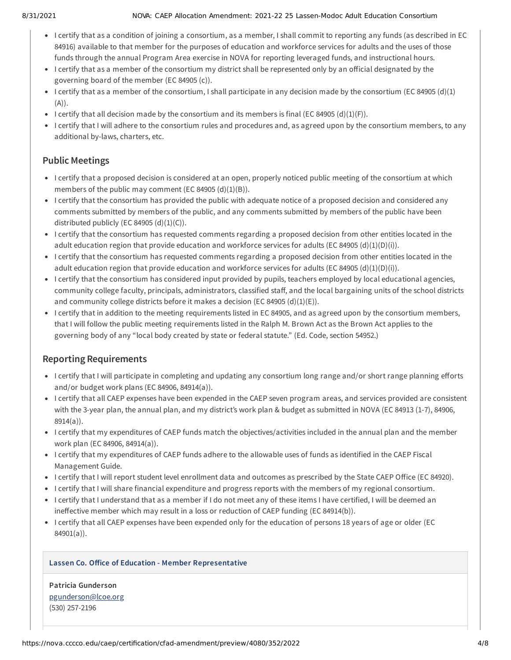#### 8/31/2021 NOVA: CAEP Allocation Amendment: 2021-22 25 Lassen-Modoc Adult Education Consortium

- I certify that as a condition of joining a consortium, as a member, I shall commit to reporting any funds (as described in EC 84916) available to that member for the purposes of education and workforce services for adults and the uses of those funds through the annual Program Area exercise in NOVA for reporting leveraged funds, and instructional hours.
- I certify that as a member of the consortium my district shall be represented only by an official designated by the governing board of the member (EC 84905 (c)).
- I certify that as a member of the consortium, I shall participate in any decision made by the consortium (EC 84905 (d)(1)  $(A)$ ).
- I certify that all decision made by the consortium and its members is final (EC 84905 (d)(1)(F)).
- I certify that I will adhere to the consortium rules and procedures and, as agreed upon by the consortium members, to any additional by-laws, charters, etc.

## **Public Meetings**

- I certify that a proposed decision is considered at an open, properly noticed public meeting of the consortium at which members of the public may comment (EC 84905  $(d)(1)(B)$ ).
- I certify that the consortium has provided the public with adequate notice of a proposed decision and considered any comments submitted by members of the public, and any comments submitted by members of the public have been distributed publicly (EC 84905  $(d)(1)(C)$ ).
- I certify that the consortium has requested comments regarding a proposed decision from other entities located in the adult education region that provide education and workforce services for adults (EC 84905 (d)(1)(D)(i)).
- I certify that the consortium has requested comments regarding a proposed decision from other entities located in the adult education region that provide education and workforce services for adults (EC 84905 (d)(1)(D)(i)).
- I certify that the consortium has considered input provided by pupils, teachers employed by local educational agencies, community college faculty, principals, administrators, classified staff, and the local bargaining units of the school districts and community college districts before it makes a decision (EC 84905 (d)(1)(E)).
- I certify that in addition to the meeting requirements listed in EC 84905, and as agreed upon by the consortium members, that I will follow the public meeting requirements listed in the Ralph M. Brown Act as the Brown Act applies to the governing body of any "local body created by state or federal statute." (Ed. Code, section 54952.)

# **Reporting Requirements**

- I certify that I will participate in completing and updating any consortium long range and/or short range planning efforts and/or budget work plans (EC 84906, 84914(a)).
- I certify that all CAEP expenses have been expended in the CAEP seven program areas, and services provided are consistent with the 3-year plan, the annual plan, and my district's work plan & budget as submitted in NOVA (EC 84913 (1-7), 84906, 8914(a)).
- I certify that my expenditures of CAEP funds match the objectives/activities included in the annual plan and the member work plan (EC 84906, 84914(a)).
- I certify that my expenditures of CAEP funds adhere to the allowable uses of funds as identified in the CAEP Fiscal Management Guide.
- I certify that I will report student level enrollment data and outcomes as prescribed by the State CAEP Office (EC 84920).
- I certify that I will share financial expenditure and progress reports with the members of my regional consortium.
- I certify that I understand that as a member if I do not meet any of these items I have certified, I will be deemed an ineffective member which may result in a loss or reduction of CAEP funding (EC 84914(b)).
- I certify that all CAEP expenses have been expended only for the education of persons 18 years of age or older (EC 84901(a)).

### **Lassen Co. Office of Education - Member Representative**

**Patricia Gunderson** [pgunderson@lcoe.org](mailto:pgunderson@lcoe.org) (530) 257-2196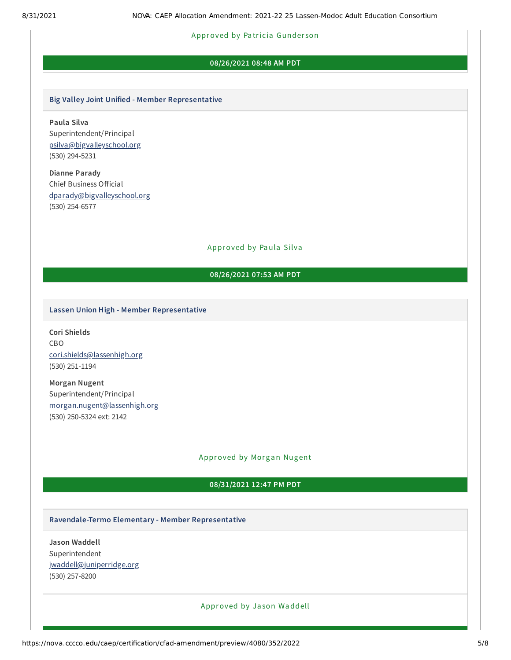#### Approved by Pa tricia Gunder son

#### **08/26/2021 08:48 AM PDT**

#### **Big Valley Joint Unified - Member Representative**

**Paula Silva** Superintendent/Principal [psilva@bigvalleyschool.org](mailto:psilva@bigvalleyschool.org) (530) 294-5231

**Dianne Parady** Chief Business Official [dparady@bigvalleyschool.org](mailto:dparady@bigvalleyschool.org) (530) 254-6577

Approved by Paula Silva

## **08/26/2021 07:53 AM PDT**

#### **Lassen Union High - Member Representative**

**Cori Shields** CBO [cori.shields@lassenhigh.org](mailto:cori.shields@lassenhigh.org) (530) 251-1194

**Morgan Nugent** Superintendent/Principal [morgan.nugent@lassenhigh.org](mailto:morgan.nugent@lassenhigh.org) (530) 250-5324 ext: 2142

#### Approved by Morgan Nugent

#### **08/31/2021 12:47 PM PDT**

#### **Ravendale-Termo Elementary - Member Representative**

**Jason Waddell** Superintendent [jwaddell@juniperridge.org](mailto:jwaddell@juniperridge.org) (530) 257-8200

#### Approved by Ja son Waddell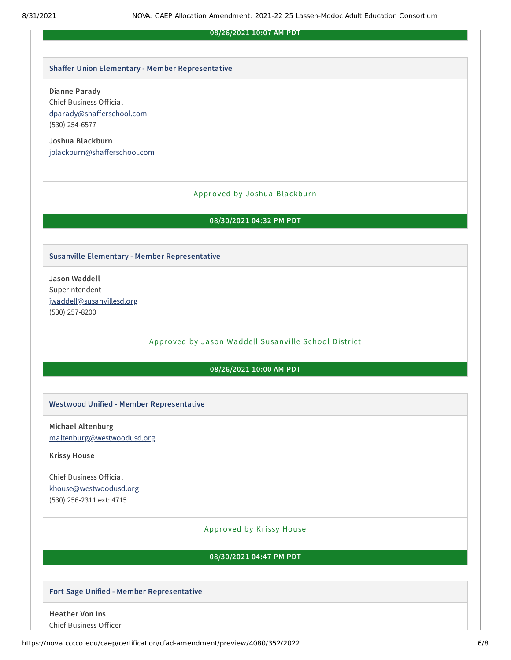#### **08/26/2021 10:07 AM PDT**

#### **Shaffer Union Elementary - Member Representative**

#### **Dianne Parady**

Chief Business Official [dparady@shafferschool.com](mailto:dparady@shafferschool.com) (530) 254-6577

**Joshua Blackburn** [jblackburn@shafferschool.com](mailto:jblackburn@shafferschool.com)

#### Approved by Joshua Blackburn

#### **08/30/2021 04:32 PM PDT**

#### **Susanville Elementary - Member Representative**

**Jason Waddell** Superintendent [jwaddell@susanvillesd.org](mailto:jwaddell@susanvillesd.org) (530) 257-8200

Approved by Ja son Waddell Susanville School District

## **08/26/2021 10:00 AM PDT**

#### **Westwood Unified - Member Representative**

**Michael Altenburg** [maltenburg@westwoodusd.org](mailto:maltenburg@westwoodusd.org)

**Krissy House**

Chief Business Official [khouse@westwoodusd.org](mailto:khouse@westwoodusd.org) (530) 256-2311 ext: 4715

#### Approved by Krissy House

#### **08/30/2021 04:47 PM PDT**

#### **Fort Sage Unified - Member Representative**

**Heather Von Ins** Chief Business Officer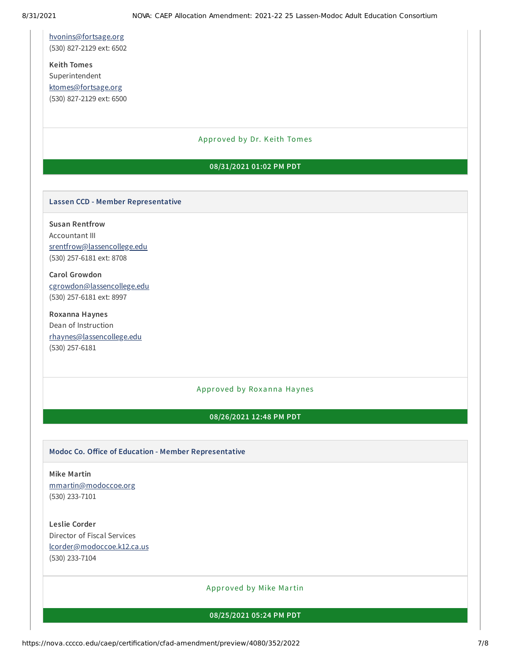[hvonins@fortsage.org](mailto:hvonins@fortsage.org) (530) 827-2129 ext: 6502

**Keith Tomes** Superintendent [ktomes@fortsage.org](mailto:ktomes@fortsage.org) (530) 827-2129 ext: 6500

#### Approved by Dr. Keith Tomes

#### **08/31/2021 01:02 PM PDT**

#### **Lassen CCD - Member Representative**

**Susan Rentfrow** Accountant III [srentfrow@lassencollege.edu](mailto:srentfrow@lassencollege.edu) (530) 257-6181 ext: 8708

**Carol Growdon** [cgrowdon@lassencollege.edu](mailto:cgrowdon@lassencollege.edu) (530) 257-6181 ext: 8997

**Roxanna Haynes** Dean of Instruction [rhaynes@lassencollege.edu](mailto:rhaynes@lassencollege.edu) (530) 257-6181

### Approved by Roxanna Haynes

#### **08/26/2021 12:48 PM PDT**

#### **Modoc Co. Office of Education - Member Representative**

**Mike Martin** [mmartin@modoccoe.org](mailto:mmartin@modoccoe.org) (530) 233-7101

**Leslie Corder** Director of Fiscal Services [lcorder@modoccoe.k12.ca.us](mailto:lcorder@modoccoe.k12.ca.us) (530) 233-7104

Approved by Mike Martin

**08/25/2021 05:24 PM PDT**